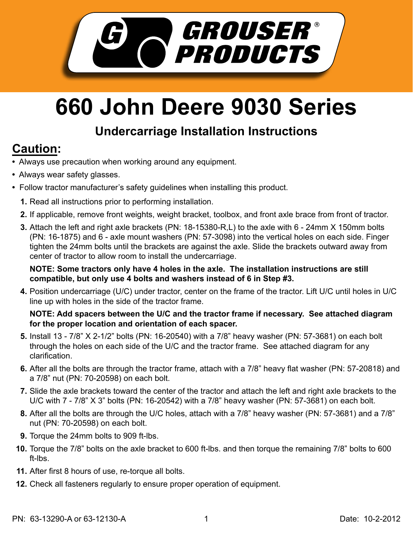

## **660 John Deere 9030 Series**

## **Undercarriage Installation Instructions**

## **Caution:**

- Always use precaution when working around any equipment.
- Always wear safety glasses.
- Follow tractor manufacturer's safety guidelines when installing this product.
	- **1.** Read all instructions prior to performing installation.
	- **2.** If applicable, remove front weights, weight bracket, toolbox, and front axle brace from front of tractor.
	- Attach the left and right axle brackets (PN: 18-15380-R,L) to the axle with 6 24mm X 150mm bolts **3.** (PN: 16-1875) and 6 - axle mount washers (PN: 57-3098) into the vertical holes on each side. Finger tighten the 24mm bolts until the brackets are against the axle. Slide the brackets outward away from center of tractor to allow room to install the undercarriage.

**NOTE: Some tractors only have 4 holes in the axle. The installation instructions are still compatible, but only use 4 bolts and washers instead of 6 in Step #3.**

Position undercarriage (U/C) under tractor, center on the frame of the tractor. Lift U/C until holes in U/C **4.** line up with holes in the side of the tractor frame.

## **NOTE: Add spacers between the U/C and the tractor frame if necessary. See attached diagram for the proper location and orientation of each spacer.**

- **5.** Install 13 7/8" X 2-1/2" bolts (PN: 16-20540) with a 7/8" heavy washer (PN: 57-3681) on each bolt through the holes on each side of the U/C and the tractor frame. See attached diagram for any clarification.
- **6.** After all the bolts are through the tractor frame, attach with a 7/8" heavy flat washer (PN: 57-20818) and a 7/8" nut (PN: 70-20598) on each bolt.
- Slide the axle brackets toward the center of the tractor and attach the left and right axle brackets to the **7.** U/C with 7 - 7/8" X 3" bolts (PN: 16-20542) with a 7/8" heavy washer (PN: 57-3681) on each bolt.
- After all the bolts are through the U/C holes, attach with a 7/8" heavy washer (PN: 57-3681) and a 7/8" **8.** nut (PN: 70-20598) on each bolt.
- **9.** Torque the 24mm bolts to 909 ft-lbs.
- Torque the 7/8" bolts on the axle bracket to 600 ft-lbs. and then torque the remaining 7/8" bolts to 600 **10.** ft-lbs.
- After first 8 hours of use, re-torque all bolts. **11.**
- 12. Check all fasteners regularly to ensure proper operation of equipment.